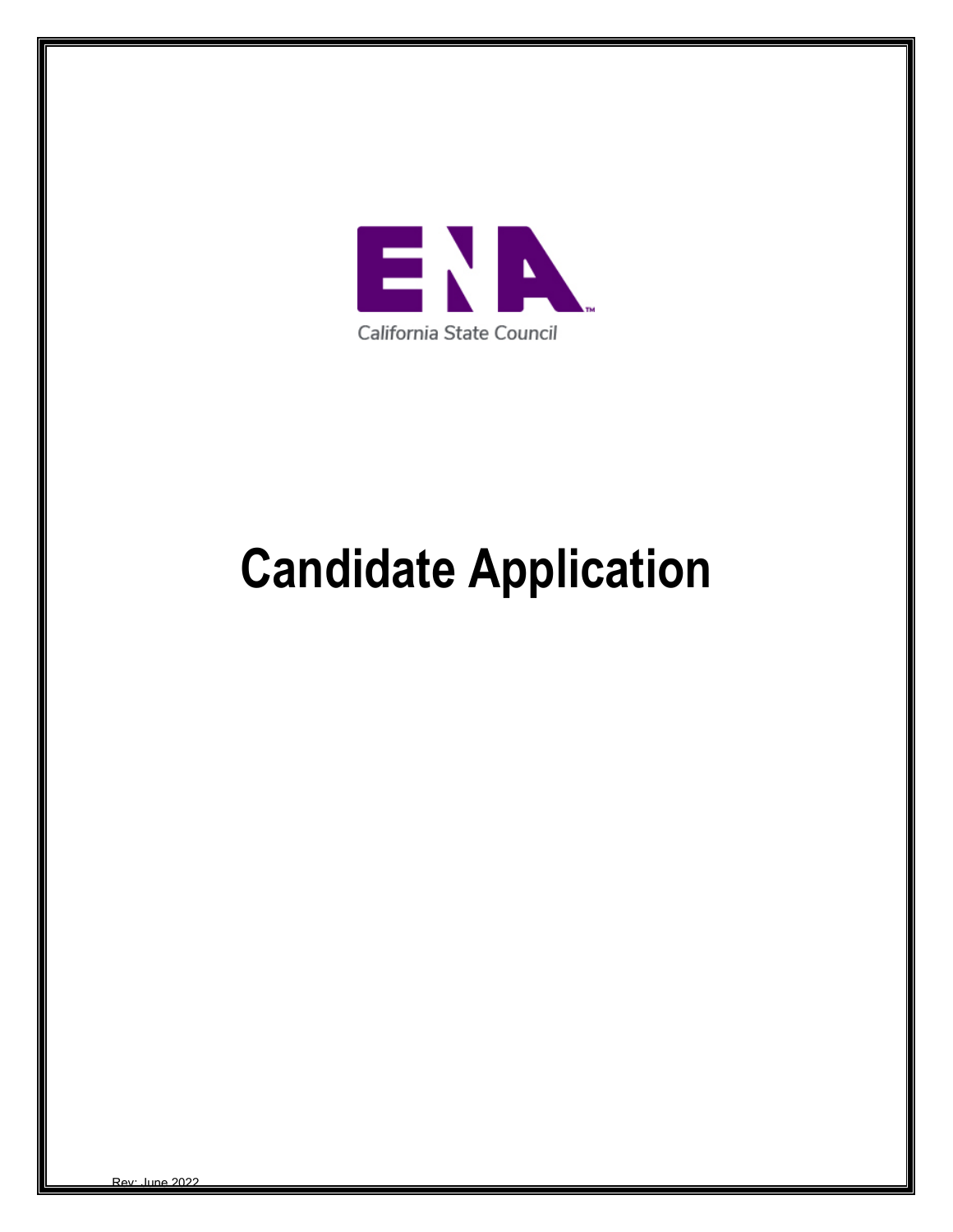

# **Candidate Application**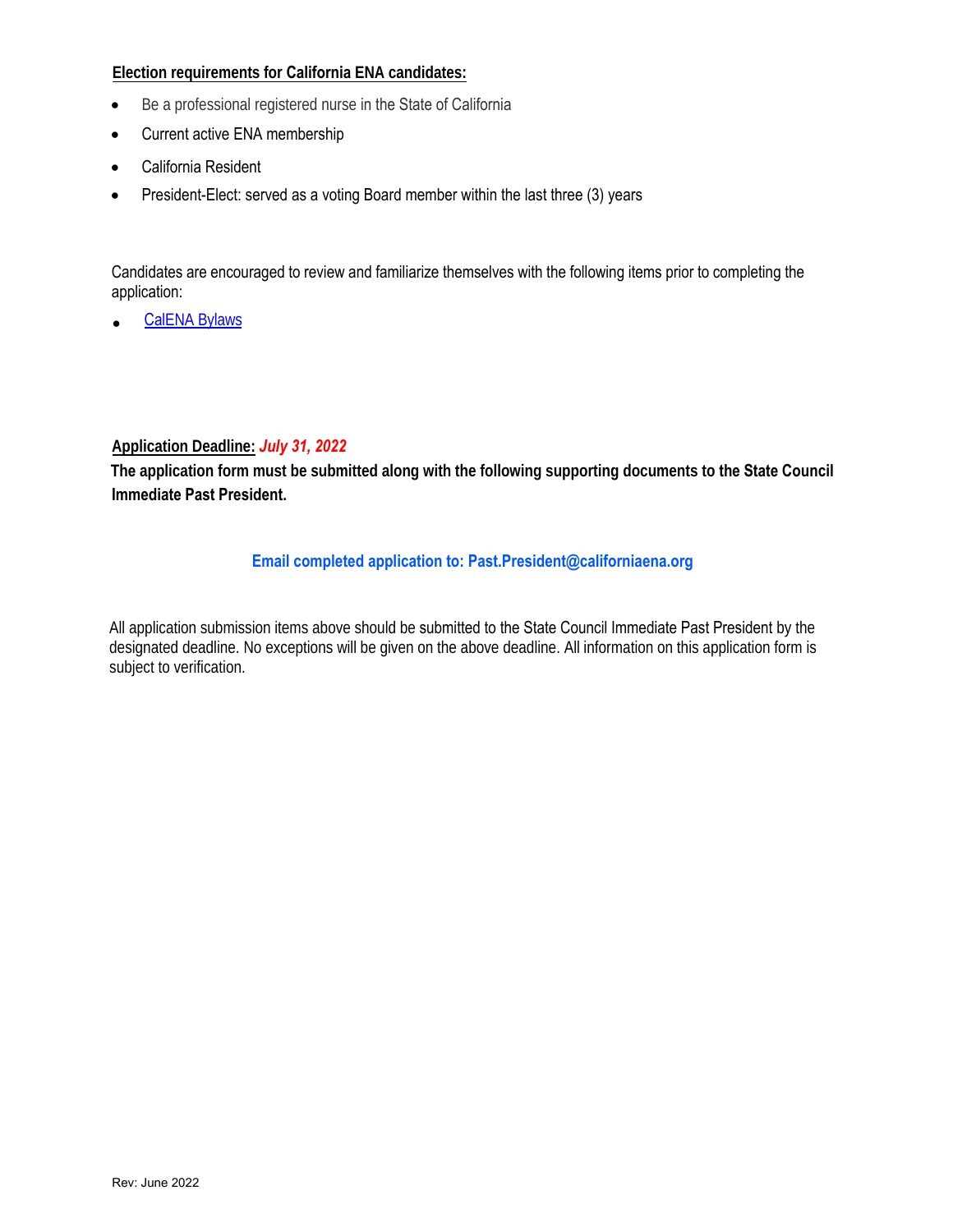## **Election requirements for California ENA candidates:**

- Be a professional registered nurse in the State of California
- Current active ENA membership
- California Resident
- President-Elect: served as a voting Board member within the last three (3) years

Candidates are encouraged to review and familiarize themselves with the following items prior to completing the application:

• Cal[ENA Bylaws](https://www.californiaena.org/wp-content/uploads/2020/11/Bylaws-Update-2021.pdf)

#### **Ap[plication Deadl](http://www.ena.org/about/bylaws/Documents/ENABylaws.pdf)ine:** *July 31, 2022*

**The [application for](http://www.ena.org/about/elections/Documents/ElectionRules.pdf)m must be submitted along with the following supporting documents to the State Council [Immediate Past President.](http://www.ena.org/about/elections/Documents/FAQs.pdf)** 

## **Email completed application to: Past.President@californiaena.org**

All application submission items above should be submitted to the State Council Immediate Past President by the designated deadline. [No exceptions will be given on](mailto:elections@ena.org) the above deadline. All information on this application form is subject to verification.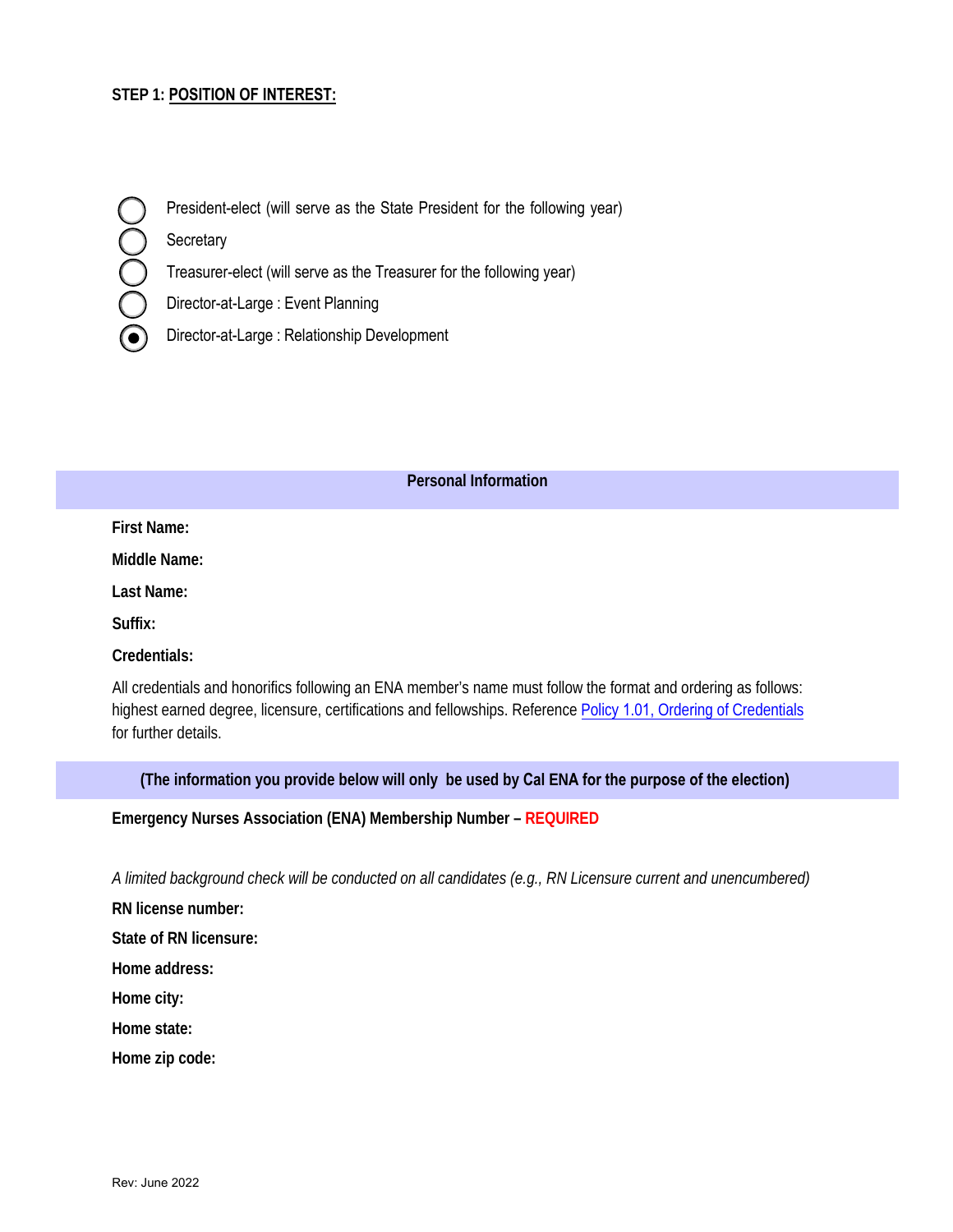## **STEP 1: POSITION OF INTEREST:**

President-elect (will serve as the State President for the following year)

**Secretary** 

C<br>C<br>C

Treasurer-elect (will serve as the Treasurer for the following year)

Director-at-Large : Event Planning

Director-at-Large : Relationship Development  $(\bullet)$ 

#### **Personal Information**

**First Name:**

**Middle Name:**

**Last Name:**

**Suffix:**

**Credentials:**

All credentials and honorifics following an ENA member's name must follow the format and ordering as follows: [highest earned degree, licensure, certifications and](https://www.ena.org/docs/default-source/about-us/leadership-governance/ena-governance-policies) fellowships. Reference Policy 1.01, Ordering of Credentials for further details.

**(The information you provide below will only be used by Cal ENA for the purpose of the election)** 

**Emergency Nurses Association (ENA) Membership Number – REQUIRED**

*A limited background check will be conducted on all candidates (e.g., RN Licensure current and unencumbered)*

**RN license number:** 

**State of RN licensure:** 

**Home address:** 

**Home city:** 

**Home state:** 

**Home zip code:**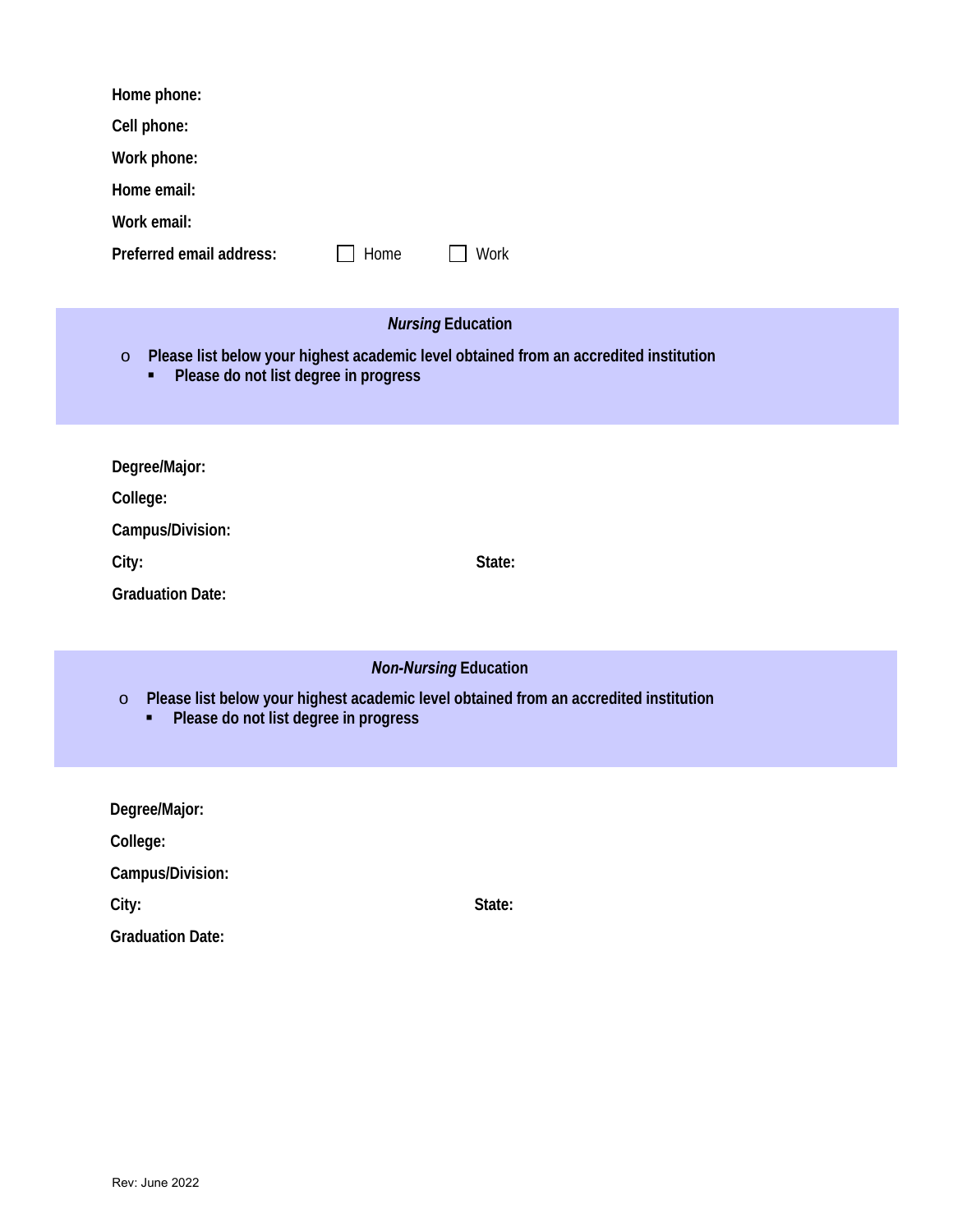| Home phone:                                                                                                                                    |
|------------------------------------------------------------------------------------------------------------------------------------------------|
| Cell phone:                                                                                                                                    |
| Work phone:                                                                                                                                    |
| Home email:                                                                                                                                    |
| Work email:                                                                                                                                    |
| Preferred email address:<br>Home<br>Work                                                                                                       |
| <b>Nursing Education</b>                                                                                                                       |
| Please list below your highest academic level obtained from an accredited institution<br>$\circ$<br>Please do not list degree in progress<br>٠ |
| Degree/Major:                                                                                                                                  |
| College:                                                                                                                                       |
| Campus/Division:                                                                                                                               |
| State:<br>City:                                                                                                                                |
| <b>Graduation Date:</b>                                                                                                                        |
|                                                                                                                                                |
| <b>Non-Nursing Education</b>                                                                                                                   |
| Please list below your highest academic level obtained from an accredited institution<br>$\circ$<br>Please do not list degree in progress<br>٠ |
| Degree/Major:                                                                                                                                  |
| College:                                                                                                                                       |
| Campus/Division:                                                                                                                               |
| City:<br>State:                                                                                                                                |

**Graduation Date:**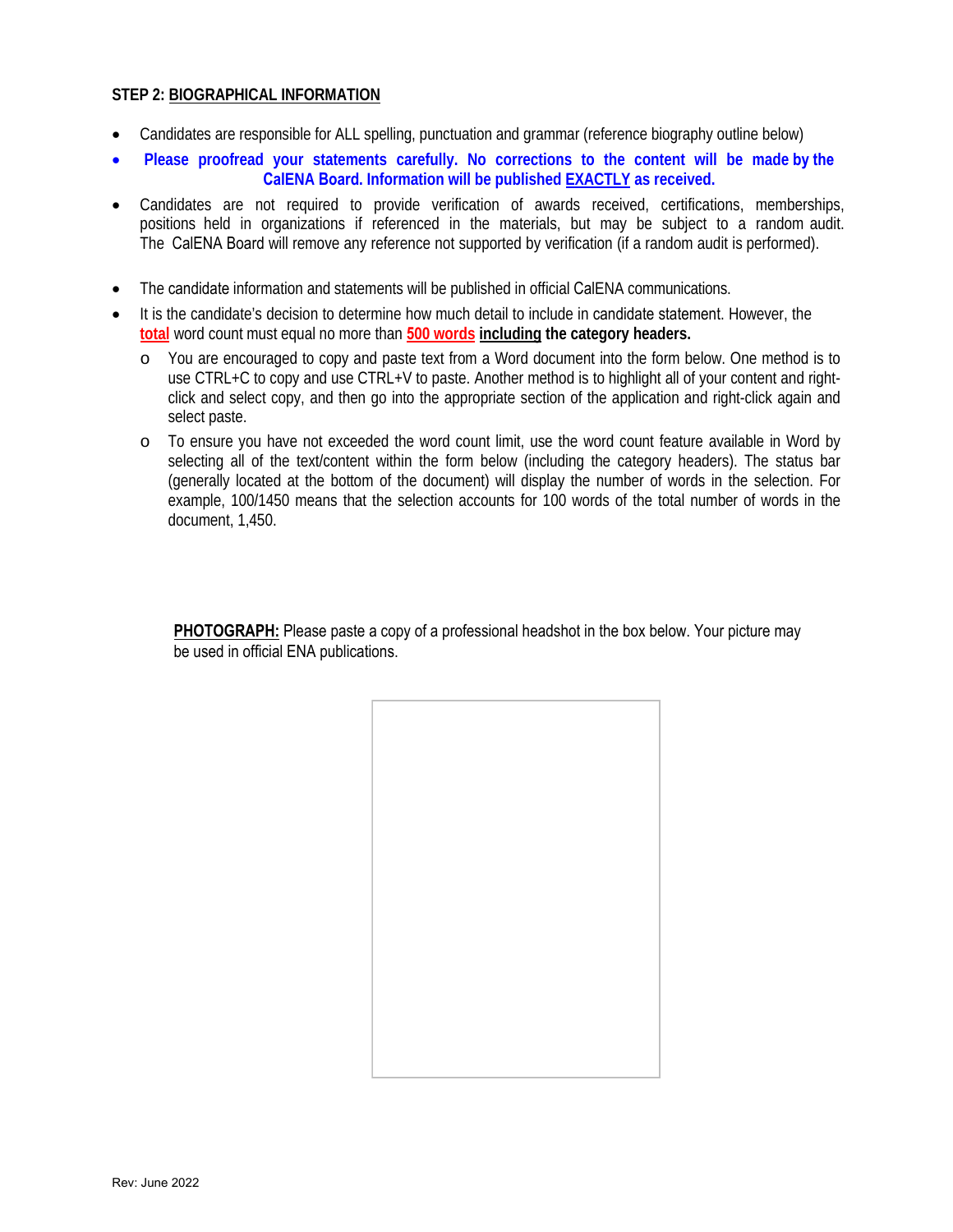#### **STEP 2: BIOGRAPHICAL INFORMATION**

- Candidates are responsible for ALL spelling, punctuation and grammar (reference biography outline below)
- **Please proofread your statements carefully. No corrections to the content will be made by the CalENA Board. Information will be published EXACTLY as received.**
- Candidates are not required to provide verification of awards received, certifications, memberships, positions held in organizations if referenced in the materials, but may be subject to a random audit. The CalENA Board will remove any reference not supported by verification (if a random audit is performed).
- The candidate information and statements will be published in official CalENA communications.
- It is the candidate's decision to determine how much detail to include in candidate statement. However, the **total** word count must equal no more than **500 words including the category headers.**
	- o You are encouraged to copy and paste text from a Word document into the form below. One method is to use CTRL+C to copy and use CTRL+V to paste. Another method is to highlight all of your content and rightclick and select copy, and then go into the appropriate section of the application and right-click again and select paste.
	- o To ensure you have not exceeded the word count limit, use the word count feature available in Word by selecting all of the text/content within the form below (including the category headers). The status bar (generally located at the bottom of the document) will display the number of words in the selection. For example, 100/1450 means that the selection accounts for 100 words of the total number of words in the document, 1,450.

**PHOTOGRAPH:** Please paste a copy of a professional headshot in the box below. Your picture may be used in official ENA publications.

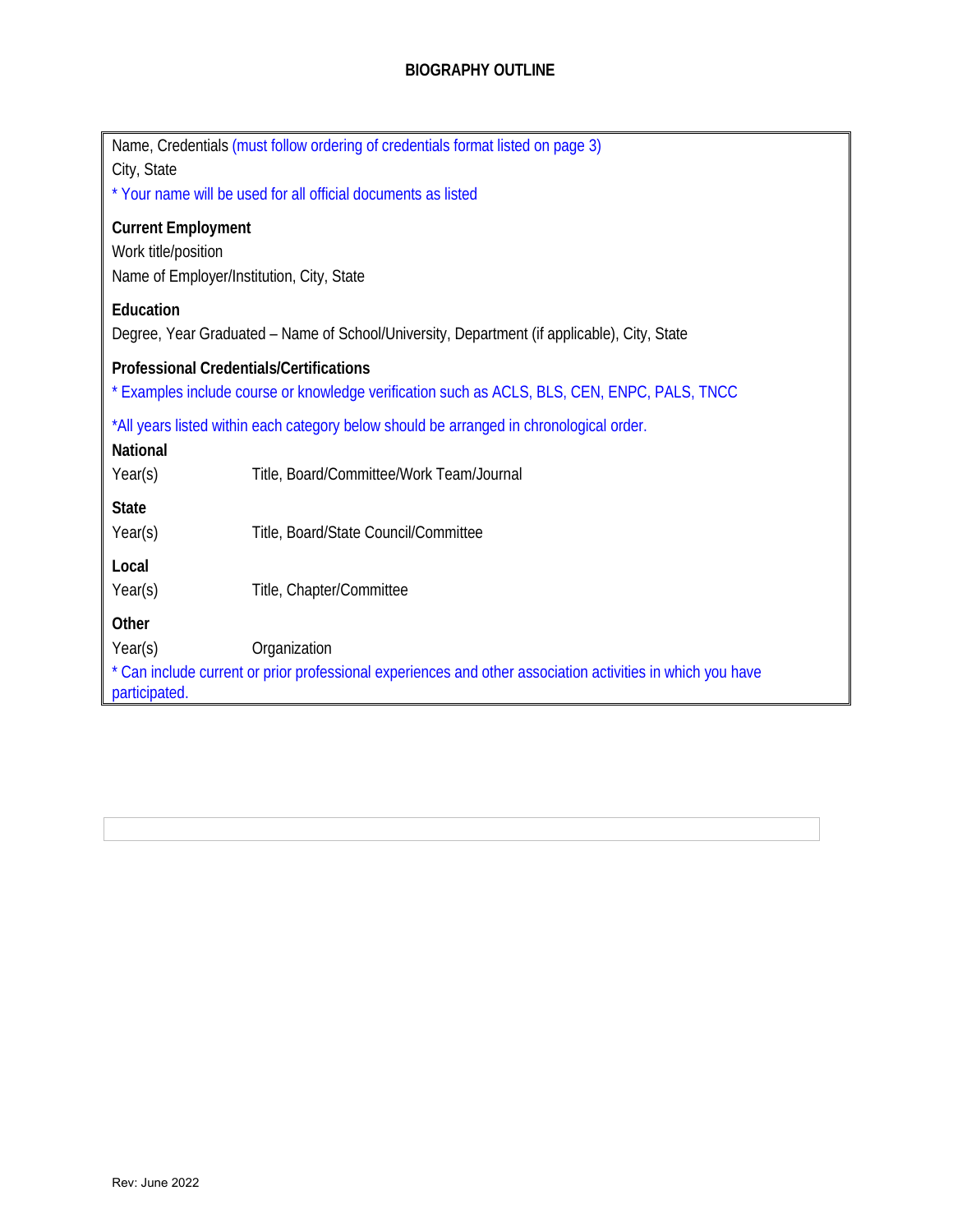# **BIOGRAPHY OUTLINE**

| Name, Credentials (must follow ordering of credentials format listed on page 3)<br>City, State<br>* Your name will be used for all official documents as listed |  |  |
|-----------------------------------------------------------------------------------------------------------------------------------------------------------------|--|--|
| <b>Current Employment</b><br>Work title/position<br>Name of Employer/Institution, City, State                                                                   |  |  |
| Education<br>Degree, Year Graduated - Name of School/University, Department (if applicable), City, State                                                        |  |  |
| <b>Professional Credentials/Certifications</b><br>* Examples include course or knowledge verification such as ACLS, BLS, CEN, ENPC, PALS, TNCC                  |  |  |
| *All years listed within each category below should be arranged in chronological order.<br><b>National</b>                                                      |  |  |
| Year(s)<br>Title, Board/Committee/Work Team/Journal<br><b>State</b><br>Year(s)<br>Title, Board/State Council/Committee                                          |  |  |
| Local<br>Year(s)<br>Title, Chapter/Committee                                                                                                                    |  |  |
| Other<br>Year(s)<br>Organization                                                                                                                                |  |  |
| * Can include current or prior professional experiences and other association activities in which you have<br>participated.                                     |  |  |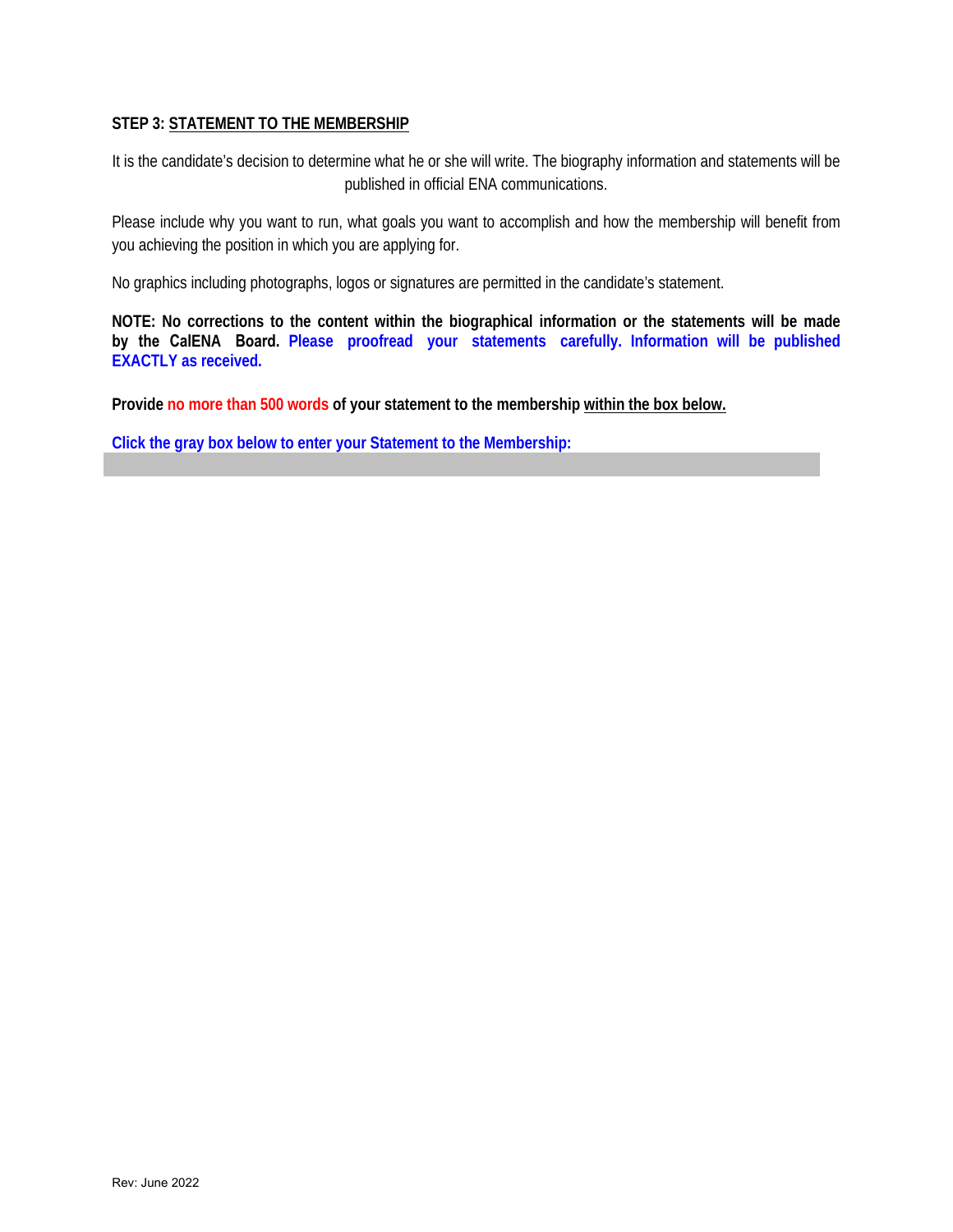## **STEP 3: STATEMENT TO THE MEMBERSHIP**

It is the candidate's decision to determine what he or she will write. The biography information and statements will be published in official ENA communications.

Please include why you want to run, what goals you want to accomplish and how the membership will benefit from you achieving the position in which you are applying for.

No graphics including photographs, logos or signatures are permitted in the candidate's statement.

**NOTE: No corrections to the content within the biographical information or the statements will be made by the CalENA Board. Please proofread your statements carefully. Information will be published EXACTLY as received.** 

**Provide no more than 500 words of your statement to the membership within the box below.**

**Click the gray box below to enter your Statement to the Membership:**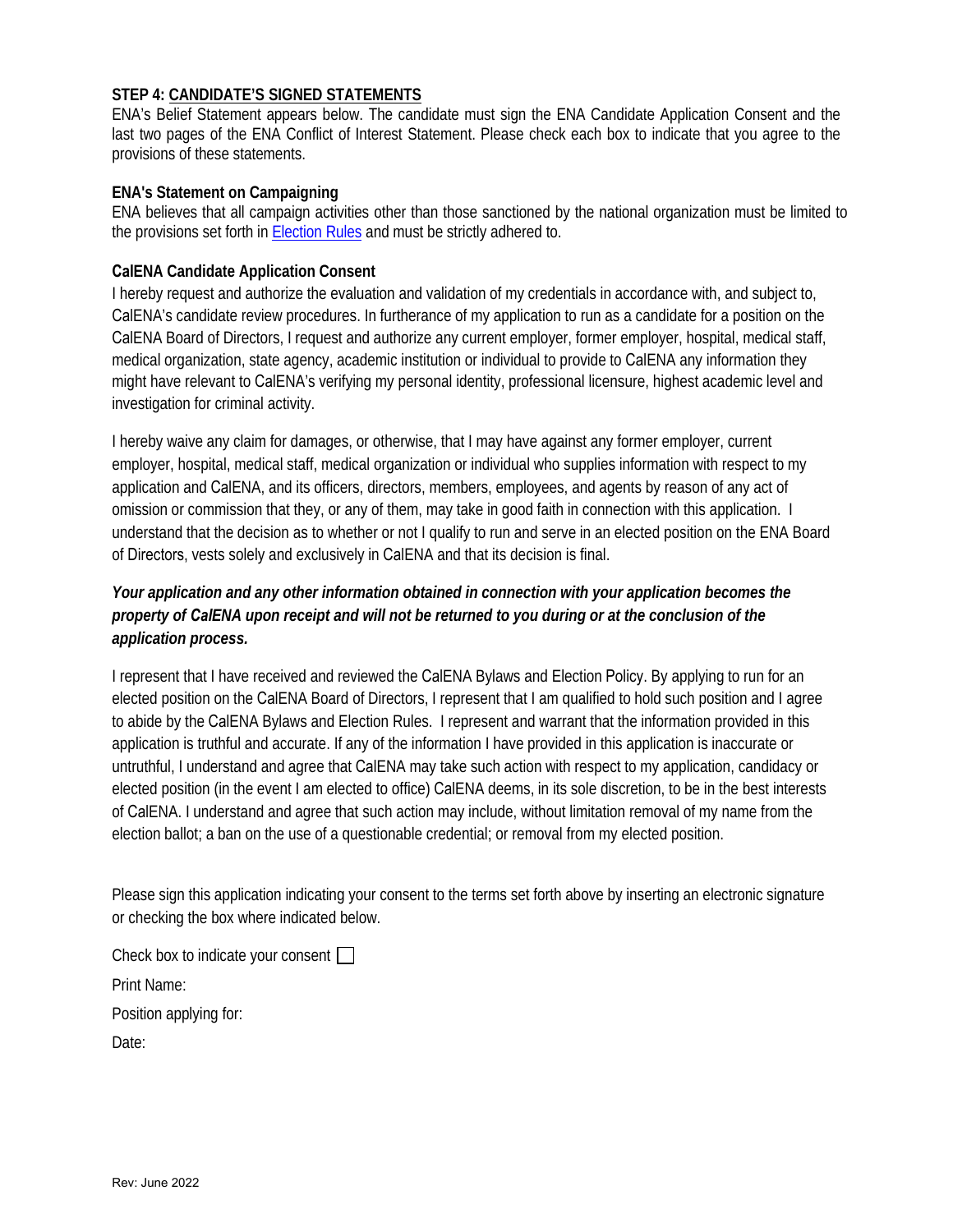## **STEP 4: CANDIDATE'S SIGNED STATEMENTS**

ENA's Belief Statement appears below. The candidate must sign the ENA Candidate Application Consent and the last two pages of the ENA Conflict of Interest Statement. Please check each box to indicate that you agree to the provisions of these statements.

#### **ENA's Statement on Campaigning**

ENA believes that all campaign activities other than those sanctioned by the national organization must be limited to the provisions set forth in [Election Rules](https://www.ena.org/docs/default-source/about-us/leadership-governance/reference-materials/ena-election-rulescb51492f0f4041c68b86b216f93573f9.pdf?sfvrsn=80d14fdb_18) and must be strictly adhered to.

#### **CalENA Candidate Application Consent**

I hereby request and authorize the evaluation and validation of my credentials in accordance with, and subject to, CalENA's candidate review procedures. In furtherance of my application to run as a candidate for a position on the CalENA Board of Directors, I request and authorize any current employer, former employer, hospital, medical staff, medical organization, state agency, academic institution or individual to provide to CalENA any information they might have relevant to CalENA's verifying my personal identity, professional licensure, highest academic level and investigation for criminal activity.

I hereby waive any claim for damages, or otherwise, that I may have against any former employer, current employer, hospital, medical staff, medical organization or individual who supplies information with respect to my application and CalENA, and its officers, directors, members, employees, and agents by reason of any act of omission or commission that they, or any of them, may take in good faith in connection with this application. I understand that the decision as to whether or not I qualify to run and serve in an elected position on the ENA Board of Directors, vests solely and exclusively in CalENA and that its decision is final.

## *Your application and any other information obtained in connection with your application becomes the property of CalENA upon receipt and will not be returned to you during or at the conclusion of the application process.*

I represent that I have received and reviewed the CalENA Bylaws and Election Policy. By applying to run for an elected position on the CalENA Board of Directors, I represent that I am qualified to hold such position and I agree to abide by the CalENA Bylaws and Election Rules. I represent and warrant that the information provided in this application is truthful and accurate. If any of the information I have provided in this application is inaccurate or untruthful, I understand and agree that CalENA may take such action with respect to my application, candidacy or elected position (in the event I am elected to office) CalENA deems, in its sole discretion, to be in the best interests of CalENA. I understand and agree that such action may include, without limitation removal of my name from the election ballot; a ban on the use of a questionable credential; or removal from my elected position.

Please sign this application indicating your consent to the terms set forth above by inserting an electronic signature or checking the box where indicated below.

Check box to indicate your consent  $\Box$ 

Print Name:

Position applying for:

Date: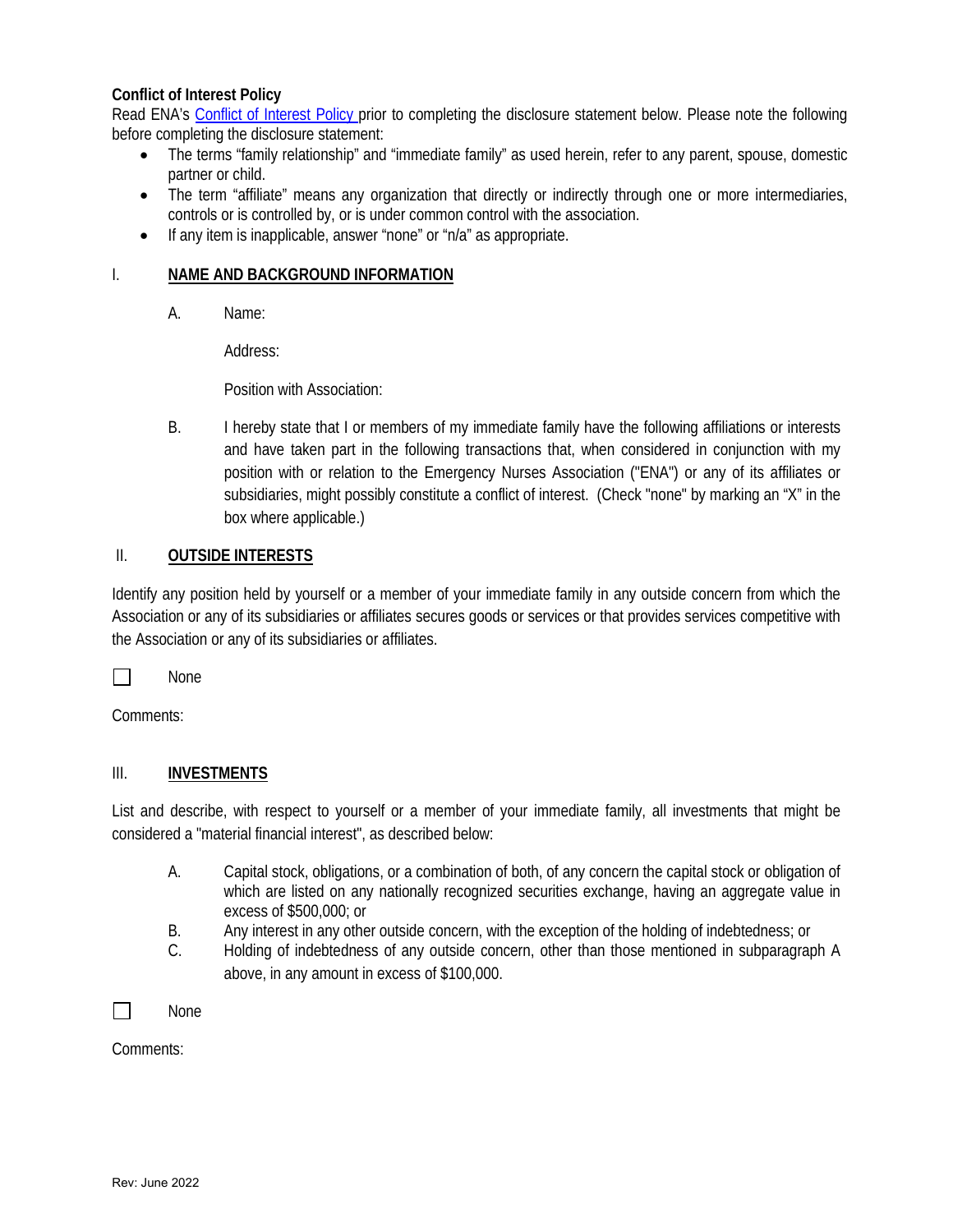## **Conflict of Interest Policy**

Read ENA's [Conflict of Interest Policy p](https://www.californiaena.org/wp-content/uploads/2019/03/2017-Conflict-of-Interest.pdf)rior to completing the disclosure statement below. Please note the following before completing the disclosure statement:

- The terms "family relationship" and "immediate family" as used herein, refer to any parent, spouse, domestic partner or child.
- The term "affiliate" means any organization that directly or indirectly through one or more intermediaries, controls or is controlled by, or is under common control with the association.
- If any item is inapplicable, answer "none" or "n/a" as appropriate.

## I. **NAME AND BACKGROUND INFORMATION**

A. Name:

Address:

Position with Association:

B. I hereby state that I or members of my immediate family have the following affiliations or interests and have taken part in the following transactions that, when considered in conjunction with my position with or relation to the Emergency Nurses Association ("ENA") or any of its affiliates or subsidiaries, might possibly constitute a conflict of interest. (Check "none" by marking an "X" in the box where applicable.)

## II. **OUTSIDE INTERESTS**

Identify any position held by yourself or a member of your immediate family in any outside concern from which the Association or any of its subsidiaries or affiliates secures goods or services or that provides services competitive with the Association or any of its subsidiaries or affiliates.

 $\Box$ None

Comments:

## III. **INVESTMENTS**

List and describe, with respect to yourself or a member of your immediate family, all investments that might be considered a "material financial interest", as described below:

- A. Capital stock, obligations, or a combination of both, of any concern the capital stock or obligation of which are listed on any nationally recognized securities exchange, having an aggregate value in excess of \$500,000; or
- B. Any interest in any other outside concern, with the exception of the holding of indebtedness; or
- C. Holding of indebtedness of any outside concern, other than those mentioned in subparagraph A above, in any amount in excess of \$100,000.

 $\Box$ 

Comments:

None